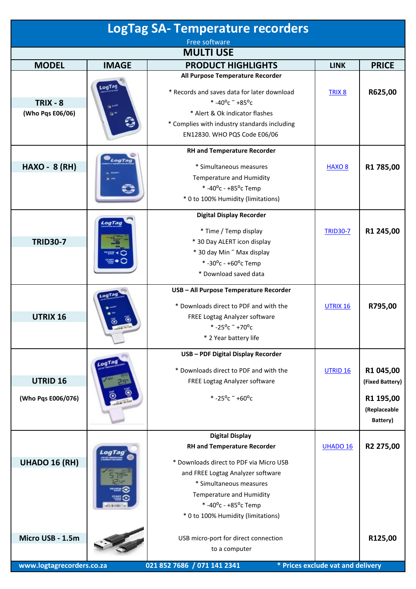| <b>LogTag SA- Temperature recorders</b>       |                                  |                                                                                                                                                                                                                                                                  |                                   |                                                                       |  |
|-----------------------------------------------|----------------------------------|------------------------------------------------------------------------------------------------------------------------------------------------------------------------------------------------------------------------------------------------------------------|-----------------------------------|-----------------------------------------------------------------------|--|
| Free software                                 |                                  |                                                                                                                                                                                                                                                                  |                                   |                                                                       |  |
| <b>MULTI USE</b>                              |                                  |                                                                                                                                                                                                                                                                  |                                   |                                                                       |  |
| <b>MODEL</b>                                  | <b>IMAGE</b>                     | <b>PRODUCT HIGHLIGHTS</b>                                                                                                                                                                                                                                        | <b>LINK</b>                       | <b>PRICE</b>                                                          |  |
| $TRIX - 8$<br>(Who Pqs E06/06)                | LogTag<br><b>OF ALERY</b><br>್ರ≪ | All Purpose Temperature Recorder<br>* Records and saves data for later download<br>* -40°c $\degree$ +85°c<br>* Alert & Ok indicator flashes<br>* Complies with industry standards including<br>EN12830. WHO PQS Code E06/06                                     | TRIX <sub>8</sub>                 | R625,00                                                               |  |
| <b>HAXO - 8 (RH)</b>                          | LogTag                           | <b>RH and Temperature Recorder</b><br>* Simultaneous measures<br>Temperature and Humidity<br>*-40°c - +85°c Temp<br>* 0 to 100% Humidity (limitations)                                                                                                           | <b>HAXO 8</b>                     | R1 785,00                                                             |  |
| <b>TRID30-7</b>                               | LogTag                           | <b>Digital Display Recorder</b><br>* Time / Temp display<br>* 30 Day ALERT icon display<br>* 30 day Min ~ Max display<br>*-30°c - +60°c Temp<br>* Download saved data                                                                                            | <b>TRID30-7</b>                   | R1 245,00                                                             |  |
| UTRIX 16                                      | LogTag                           | USB - All Purpose Temperature Recorder<br>* Downloads direct to PDF and with the<br>FREE Logtag Analyzer software<br>$* -25^{\circ}$ c ~ +70°c<br>* 2 Year battery life                                                                                          | UTRIX 16                          | R795,00                                                               |  |
| UTRID <sub>16</sub><br>(Who Pqs E006/076)     |                                  | USB - PDF Digital Display Recorder<br>* Downloads direct to PDF and with the<br>FREE Logtag Analyzer software<br>* -25°c $+60$ °c                                                                                                                                | UTRID <sub>16</sub>               | R1 045,00<br>(Fixed Battery)<br>R1 195,00<br>(Replaceable<br>Battery) |  |
| <b>UHADO 16 (RH)</b>                          |                                  | <b>Digital Display</b><br><b>RH and Temperature Recorder</b><br>* Downloads direct to PDF via Micro USB<br>and FREE Logtag Analyzer software<br>* Simultaneous measures<br>Temperature and Humidity<br>*-40°c - +85°c Temp<br>* 0 to 100% Humidity (limitations) | UHADO 16                          | R2 275,00                                                             |  |
| Micro USB - 1.5m<br>www.logtagrecorders.co.za |                                  | USB micro-port for direct connection<br>to a computer<br>021 852 7686 / 071 141 2341                                                                                                                                                                             | * Prices exclude vat and delivery | R125,00                                                               |  |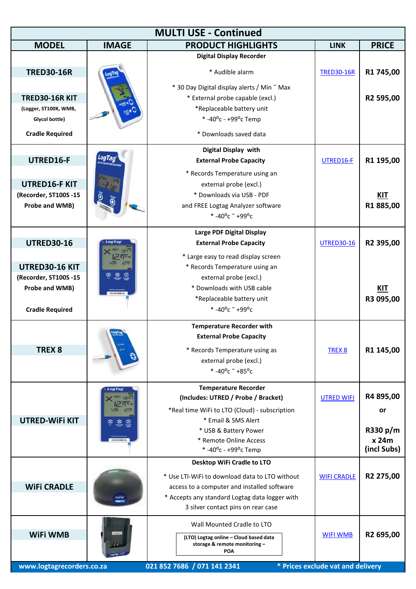| <b>MULTI USE - Continued</b>                                                                             |                                                    |                                                                                                                                                                                                                                                      |                                                      |                                                            |
|----------------------------------------------------------------------------------------------------------|----------------------------------------------------|------------------------------------------------------------------------------------------------------------------------------------------------------------------------------------------------------------------------------------------------------|------------------------------------------------------|------------------------------------------------------------|
| <b>MODEL</b>                                                                                             | <b>IMAGE</b>                                       | <b>PRODUCT HIGHLIGHTS</b>                                                                                                                                                                                                                            | <b>LINK</b>                                          | <b>PRICE</b>                                               |
| <b>TRED30-16R</b>                                                                                        |                                                    | <b>Digital Display Recorder</b><br>* Audible alarm<br>* 30 Day Digital display alerts / Min ~ Max                                                                                                                                                    | <b>TRED30-16R</b>                                    | R1 745,00                                                  |
| <b>TRED30-16R KIT</b><br>(Logger, ST100K, WMB,<br>Glycol bottle)<br><b>Cradle Required</b>               |                                                    | * External probe capable (excl.)<br>*Replaceable battery unit<br>* -40 $^{\circ}$ c - +99 $^{\circ}$ c Temp<br>* Downloads saved data                                                                                                                |                                                      | R2 595,00                                                  |
| UTRED16-F<br><b>UTRED16-F KIT</b><br>(Recorder, ST100S -15<br>Probe and WMB)                             | LogTaq                                             | Digital Display with<br><b>External Probe Capacity</b><br>* Records Temperature using an<br>external probe (excl.)<br>* Downloads via USB - PDF<br>and FREE Logtag Analyzer software<br>*-40°c ~ +99°c                                               | UTRED16-F                                            | R1 195,00<br><b>KIT</b><br>R1885,00                        |
| <b>UTRED30-16</b><br>UTRED30-16 KIT<br>(Recorder, ST100S -15<br>Probe and WMB)<br><b>Cradle Required</b> | <b>8 8 8</b>                                       | Large PDF Digital Display<br><b>External Probe Capacity</b><br>* Large easy to read display screen<br>* Records Temperature using an<br>external probe (excl.)<br>* Downloads with USB cable<br>*Replaceable battery unit<br>* -40°c $\degree$ +99°c | <b>UTRED30-16</b>                                    | R2 395,00<br><b>KIT</b><br>R3 095,00                       |
| TREX <sub>8</sub>                                                                                        |                                                    | <b>Temperature Recorder with</b><br><b>External Probe Capacity</b><br>* Records Temperature using as<br>external probe (excl.)<br>* -40°c $\degree$ +85°c                                                                                            | TREX 8                                               | R1 145,00                                                  |
| <b>UTRED-WIFI KIT</b>                                                                                    | LogTag<br>134<br><b>Hack</b><br>127<br><u>୍ଚ କ</u> | <b>Temperature Recorder</b><br>(Includes: UTRED / Probe / Bracket)<br>*Real time WiFi to LTO (Cloud) - subscription<br>* Email & SMS Alert<br>* USB & Battery Power<br>* Remote Online Access<br>* -40 $^{\circ}$ c - +99 $^{\circ}$ c Temp          | <b>UTRED WIFI</b>                                    | R4 895,00<br><b>or</b><br>R330 p/m<br>x 24m<br>(incl Subs) |
| <b>WIFI CRADLE</b>                                                                                       |                                                    | Desktop WiFi Cradle to LTO<br>* Use LTI-WiFi to download data to LTO without<br>access to a computer and installed software<br>* Accepts any standard Logtag data logger with<br>3 silver contact pins on rear case                                  | <b>WIFI CRADLE</b>                                   | R2 275,00                                                  |
| <b>WiFi WMB</b><br>www.logtagrecorders.co.za                                                             |                                                    | Wall Mounted Cradle to LTO<br>(LTO) Logtag online - Cloud based data<br>storage & remote monitoring-<br><b>POA</b><br>021 852 7686 / 071 141 2341                                                                                                    | <b>WIFI WMB</b><br>* Prices exclude vat and delivery | R2 695,00                                                  |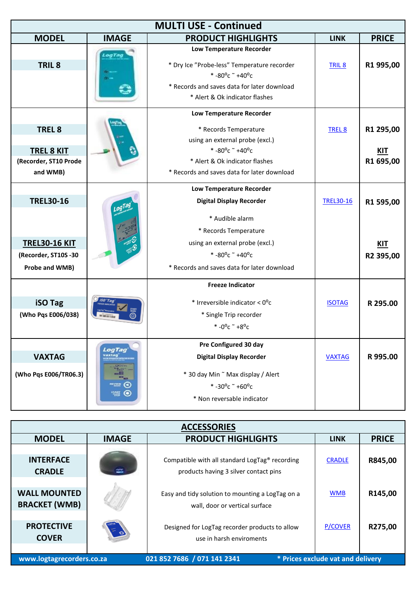| <b>MULTI USE - Continued</b> |                               |                                               |                   |              |
|------------------------------|-------------------------------|-----------------------------------------------|-------------------|--------------|
| <b>MODEL</b>                 | <b>IMAGE</b>                  | <b>PRODUCT HIGHLIGHTS</b>                     | <b>LINK</b>       | <b>PRICE</b> |
|                              | LogTag                        | Low Temperature Recorder                      |                   |              |
| TRIL <sub>8</sub>            |                               | * Dry Ice "Probe-less" Temperature recorder   | TRIL <sub>8</sub> | R1 995,00    |
|                              |                               | $* -80^{\circ}$ c ~ +40°c                     |                   |              |
|                              |                               | * Records and saves data for later download   |                   |              |
|                              |                               | * Alert & Ok indicator flashes                |                   |              |
|                              |                               | Low Temperature Recorder                      |                   |              |
| TREL <sub>8</sub>            |                               | * Records Temperature                         | TREL 8            | R1 295,00    |
|                              |                               | using an external probe (excl.)               |                   |              |
| <b>TREL 8 KIT</b>            |                               | $* -80^{\circ}$ c ~ +40°c                     |                   | KIT          |
| (Recorder, ST10 Prode        |                               | * Alert & Ok indicator flashes                |                   | R1 695,00    |
| and WMB)                     |                               | * Records and saves data for later download   |                   |              |
|                              |                               | <b>Low Temperature Recorder</b>               |                   |              |
| <b>TREL30-16</b>             |                               | <b>Digital Display Recorder</b>               | <b>TREL30-16</b>  | R1 595,00    |
|                              |                               | * Audible alarm                               |                   |              |
|                              |                               | * Records Temperature                         |                   |              |
| <b>TREL30-16 KIT</b>         |                               | using an external probe (excl.)               |                   | <b>KIT</b>   |
| (Recorder, ST10S -30         |                               | $* -80^{\circ}$ c ~ +40°c                     |                   | R2 395,00    |
| Probe and WMB)               |                               | * Records and saves data for later download   |                   |              |
|                              |                               |                                               |                   |              |
|                              |                               | <b>Freeze Indicator</b>                       |                   |              |
| <b>iSO Tag</b>               | <b>50 Tag</b>                 | * Irreversible indicator $< 0$ <sup>o</sup> c | <b>ISOTAG</b>     | R 295.00     |
| (Who Pqs E006/038)           |                               | * Single Trip recorder                        |                   |              |
|                              |                               | $* -0$ <sup>o</sup> c ~ +8 <sup>o</sup> c     |                   |              |
|                              |                               | Pre Configured 30 day                         |                   |              |
| <b>VAXTAG</b>                | LogTag<br>vaxtag              | <b>Digital Display Recorder</b>               | <b>VAXTAG</b>     | R 995.00     |
|                              | $-0.1$                        |                                               |                   |              |
| (Who Pqs E006/TR06.3)        | 5 <sub>cm</sub><br>--         | * 30 day Min ~ Max display / Alert            |                   |              |
|                              | <b>WAY O</b><br><b>TANK O</b> | $* -30^{\circ}c$ ~ +60°c                      |                   |              |
|                              |                               | * Non reversable indicator                    |                   |              |

| <b>ACCESSORIES</b>                                                                            |              |                                                                                         |                |              |
|-----------------------------------------------------------------------------------------------|--------------|-----------------------------------------------------------------------------------------|----------------|--------------|
| <b>MODEL</b>                                                                                  | <b>IMAGE</b> | <b>PRODUCT HIGHLIGHTS</b>                                                               | <b>LINK</b>    | <b>PRICE</b> |
| <b>INTERFACE</b><br><b>CRADLE</b>                                                             | ÷            | Compatible with all standard LogTag® recording<br>products having 3 silver contact pins | <b>CRADLE</b>  | R845,00      |
| <b>WALL MOUNTED</b><br><b>BRACKET (WMB)</b>                                                   |              | Easy and tidy solution to mounting a LogTag on a<br>wall, door or vertical surface      | <b>WMB</b>     | R145,00      |
| <b>PROTECTIVE</b><br><b>COVER</b>                                                             |              | Designed for LogTag recorder products to allow<br>use in harsh enviroments              | <b>P/COVER</b> | R275,00      |
| 021 852 7686 / 071 141 2341<br>* Prices exclude vat and delivery<br>www.logtagrecorders.co.za |              |                                                                                         |                |              |